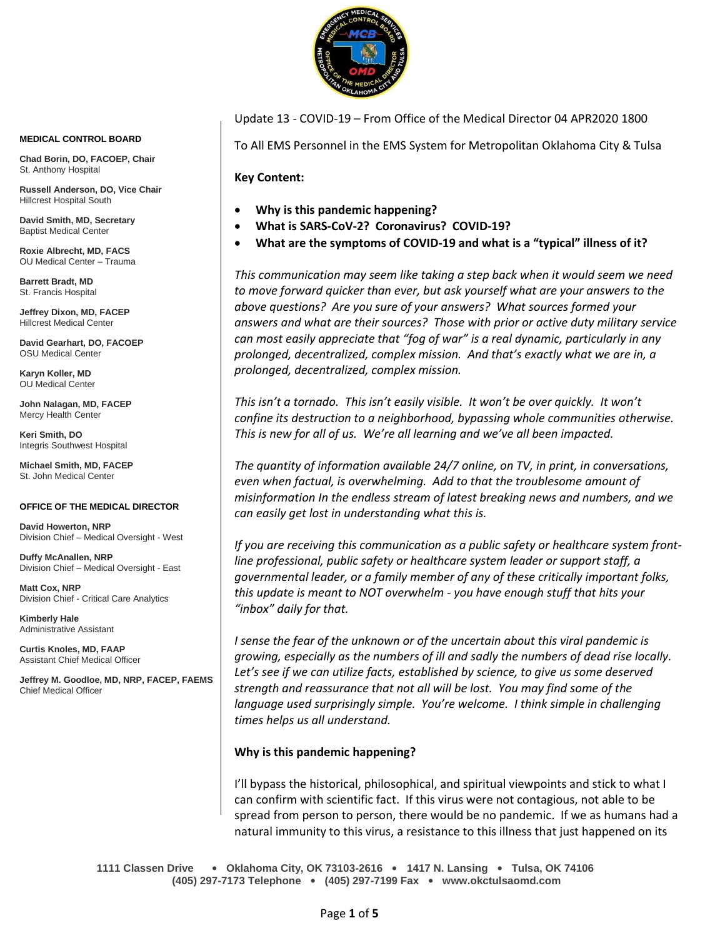

**MEDICAL CONTROL BOARD**

**Chad Borin, DO, FACOEP, Chair**  St. Anthony Hospital

**Russell Anderson, DO, Vice Chair** Hillcrest Hospital South

**David Smith, MD, Secretary** Baptist Medical Center

**Roxie Albrecht, MD, FACS** OU Medical Center – Trauma

**Barrett Bradt, MD** St. Francis Hospital

**Jeffrey Dixon, MD, FACEP** Hillcrest Medical Center

**David Gearhart, DO, FACOEP** OSU Medical Center

**Karyn Koller, MD** OU Medical Center

**John Nalagan, MD, FACEP** Mercy Health Center

**Keri Smith, DO** Integris Southwest Hospital

**Michael Smith, MD, FACEP** St. John Medical Center

#### **OFFICE OF THE MEDICAL DIRECTOR**

**David Howerton, NRP** Division Chief – Medical Oversight - West

**Duffy McAnallen, NRP** Division Chief – Medical Oversight - East

**Matt Cox, NRP** Division Chief - Critical Care Analytics

**Kimberly Hale** Administrative Assistant

**Curtis Knoles, MD, FAAP** Assistant Chief Medical Officer

**Jeffrey M. Goodloe, MD, NRP, FACEP, FAEMS** Chief Medical Officer

Update 13 - COVID-19 – From Office of the Medical Director 04 APR2020 1800

To All EMS Personnel in the EMS System for Metropolitan Oklahoma City & Tulsa

**Key Content:**

- **Why is this pandemic happening?**
- **What is SARS-CoV-2? Coronavirus? COVID-19?**
- **What are the symptoms of COVID-19 and what is a "typical" illness of it?**

*This communication may seem like taking a step back when it would seem we need to move forward quicker than ever, but ask yourself what are your answers to the above questions? Are you sure of your answers? What sources formed your answers and what are their sources? Those with prior or active duty military service can most easily appreciate that "fog of war" is a real dynamic, particularly in any prolonged, decentralized, complex mission. And that's exactly what we are in, a prolonged, decentralized, complex mission.*

*This isn't a tornado. This isn't easily visible. It won't be over quickly. It won't confine its destruction to a neighborhood, bypassing whole communities otherwise. This is new for all of us. We're all learning and we've all been impacted.*

*The quantity of information available 24/7 online, on TV, in print, in conversations, even when factual, is overwhelming. Add to that the troublesome amount of misinformation In the endless stream of latest breaking news and numbers, and we can easily get lost in understanding what this is.* 

*If you are receiving this communication as a public safety or healthcare system frontline professional, public safety or healthcare system leader or support staff, a governmental leader, or a family member of any of these critically important folks, this update is meant to NOT overwhelm - you have enough stuff that hits your "inbox" daily for that.*

*I sense the fear of the unknown or of the uncertain about this viral pandemic is growing, especially as the numbers of ill and sadly the numbers of dead rise locally. Let's see if we can utilize facts, established by science, to give us some deserved strength and reassurance that not all will be lost. You may find some of the language used surprisingly simple. You're welcome. I think simple in challenging times helps us all understand.*

#### **Why is this pandemic happening?**

I'll bypass the historical, philosophical, and spiritual viewpoints and stick to what I can confirm with scientific fact. If this virus were not contagious, not able to be spread from person to person, there would be no pandemic. If we as humans had a natural immunity to this virus, a resistance to this illness that just happened on its

**1111 Classen Drive** • **Oklahoma City, OK 73103-2616** • **1417 N. Lansing** • **Tulsa, OK 74106 (405) 297-7173 Telephone** • **(405) 297-7199 Fax** • **www.okctulsaomd.com**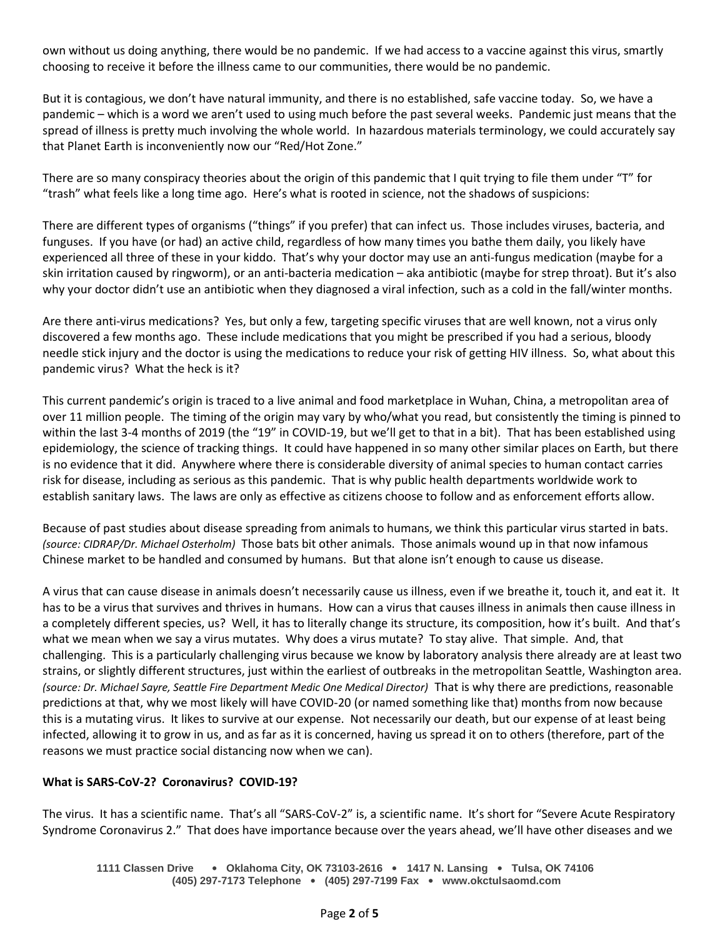own without us doing anything, there would be no pandemic. If we had access to a vaccine against this virus, smartly choosing to receive it before the illness came to our communities, there would be no pandemic.

But it is contagious, we don't have natural immunity, and there is no established, safe vaccine today. So, we have a pandemic – which is a word we aren't used to using much before the past several weeks. Pandemic just means that the spread of illness is pretty much involving the whole world. In hazardous materials terminology, we could accurately say that Planet Earth is inconveniently now our "Red/Hot Zone."

There are so many conspiracy theories about the origin of this pandemic that I quit trying to file them under "T" for "trash" what feels like a long time ago. Here's what is rooted in science, not the shadows of suspicions:

There are different types of organisms ("things" if you prefer) that can infect us. Those includes viruses, bacteria, and funguses. If you have (or had) an active child, regardless of how many times you bathe them daily, you likely have experienced all three of these in your kiddo. That's why your doctor may use an anti-fungus medication (maybe for a skin irritation caused by ringworm), or an anti-bacteria medication – aka antibiotic (maybe for strep throat). But it's also why your doctor didn't use an antibiotic when they diagnosed a viral infection, such as a cold in the fall/winter months.

Are there anti-virus medications? Yes, but only a few, targeting specific viruses that are well known, not a virus only discovered a few months ago. These include medications that you might be prescribed if you had a serious, bloody needle stick injury and the doctor is using the medications to reduce your risk of getting HIV illness. So, what about this pandemic virus? What the heck is it?

This current pandemic's origin is traced to a live animal and food marketplace in Wuhan, China, a metropolitan area of over 11 million people. The timing of the origin may vary by who/what you read, but consistently the timing is pinned to within the last 3-4 months of 2019 (the "19" in COVID-19, but we'll get to that in a bit). That has been established using epidemiology, the science of tracking things. It could have happened in so many other similar places on Earth, but there is no evidence that it did. Anywhere where there is considerable diversity of animal species to human contact carries risk for disease, including as serious as this pandemic. That is why public health departments worldwide work to establish sanitary laws. The laws are only as effective as citizens choose to follow and as enforcement efforts allow.

Because of past studies about disease spreading from animals to humans, we think this particular virus started in bats. *(source: CIDRAP/Dr. Michael Osterholm)* Those bats bit other animals. Those animals wound up in that now infamous Chinese market to be handled and consumed by humans. But that alone isn't enough to cause us disease.

A virus that can cause disease in animals doesn't necessarily cause us illness, even if we breathe it, touch it, and eat it. It has to be a virus that survives and thrives in humans. How can a virus that causes illness in animals then cause illness in a completely different species, us? Well, it has to literally change its structure, its composition, how it's built. And that's what we mean when we say a virus mutates. Why does a virus mutate? To stay alive. That simple. And, that challenging. This is a particularly challenging virus because we know by laboratory analysis there already are at least two strains, or slightly different structures, just within the earliest of outbreaks in the metropolitan Seattle, Washington area. *(source: Dr. Michael Sayre, Seattle Fire Department Medic One Medical Director)* That is why there are predictions, reasonable predictions at that, why we most likely will have COVID-20 (or named something like that) months from now because this is a mutating virus. It likes to survive at our expense. Not necessarily our death, but our expense of at least being infected, allowing it to grow in us, and as far as it is concerned, having us spread it on to others (therefore, part of the reasons we must practice social distancing now when we can).

# **What is SARS-CoV-2? Coronavirus? COVID-19?**

The virus. It has a scientific name. That's all "SARS-CoV-2" is, a scientific name. It's short for "Severe Acute Respiratory Syndrome Coronavirus 2." That does have importance because over the years ahead, we'll have other diseases and we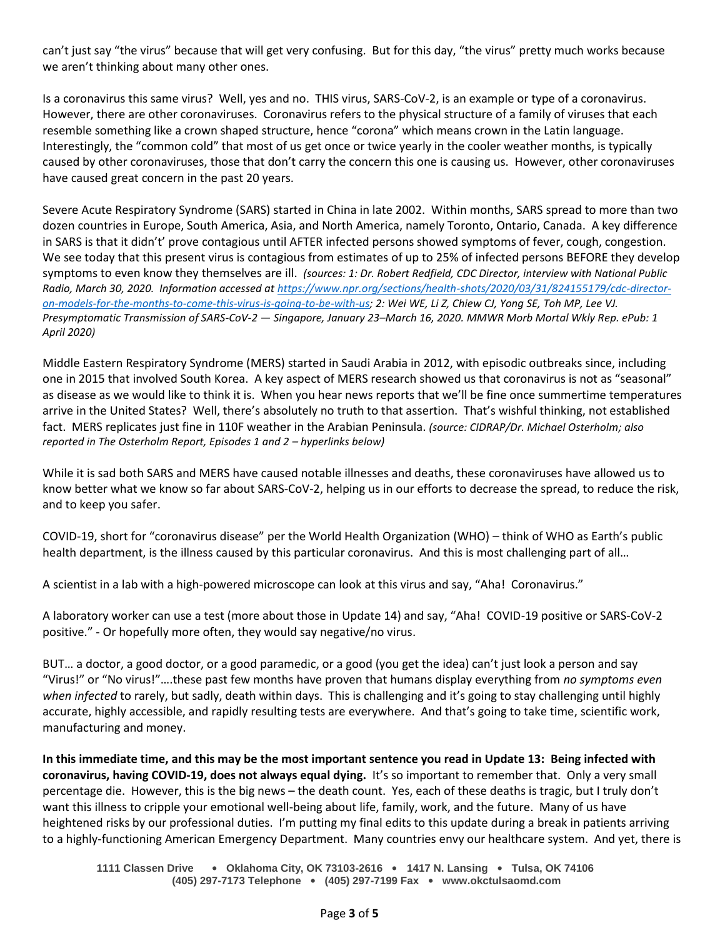can't just say "the virus" because that will get very confusing. But for this day, "the virus" pretty much works because we aren't thinking about many other ones.

Is a coronavirus this same virus? Well, yes and no. THIS virus, SARS-CoV-2, is an example or type of a coronavirus. However, there are other coronaviruses. Coronavirus refers to the physical structure of a family of viruses that each resemble something like a crown shaped structure, hence "corona" which means crown in the Latin language. Interestingly, the "common cold" that most of us get once or twice yearly in the cooler weather months, is typically caused by other coronaviruses, those that don't carry the concern this one is causing us. However, other coronaviruses have caused great concern in the past 20 years.

Severe Acute Respiratory Syndrome (SARS) started in China in late 2002. Within months, SARS spread to more than two dozen countries in Europe, South America, Asia, and North America, namely Toronto, Ontario, Canada. A key difference in SARS is that it didn't' prove contagious until AFTER infected persons showed symptoms of fever, cough, congestion. We see today that this present virus is contagious from estimates of up to 25% of infected persons BEFORE they develop symptoms to even know they themselves are ill. *(sources: 1: Dr. Robert Redfield, CDC Director, interview with National Public Radio, March 30, 2020. Information accessed at [https://www.npr.org/sections/health-shots/2020/03/31/824155179/cdc-director](https://www.npr.org/sections/health-shots/2020/03/31/824155179/cdc-director-on-models-for-the-months-to-come-this-virus-is-going-to-be-with-us)[on-models-for-the-months-to-come-this-virus-is-going-to-be-with-us;](https://www.npr.org/sections/health-shots/2020/03/31/824155179/cdc-director-on-models-for-the-months-to-come-this-virus-is-going-to-be-with-us) 2: Wei WE, Li Z, Chiew CJ, Yong SE, Toh MP, Lee VJ. Presymptomatic Transmission of SARS-CoV-2 — Singapore, January 23–March 16, 2020. MMWR Morb Mortal Wkly Rep. ePub: 1 April 2020)*

Middle Eastern Respiratory Syndrome (MERS) started in Saudi Arabia in 2012, with episodic outbreaks since, including one in 2015 that involved South Korea. A key aspect of MERS research showed us that coronavirus is not as "seasonal" as disease as we would like to think it is. When you hear news reports that we'll be fine once summertime temperatures arrive in the United States? Well, there's absolutely no truth to that assertion. That's wishful thinking, not established fact. MERS replicates just fine in 110F weather in the Arabian Peninsula. *(source: CIDRAP/Dr. Michael Osterholm; also reported in The Osterholm Report, Episodes 1 and 2 – hyperlinks below)* 

While it is sad both SARS and MERS have caused notable illnesses and deaths, these coronaviruses have allowed us to know better what we know so far about SARS-CoV-2, helping us in our efforts to decrease the spread, to reduce the risk, and to keep you safer.

COVID-19, short for "coronavirus disease" per the World Health Organization (WHO) – think of WHO as Earth's public health department, is the illness caused by this particular coronavirus. And this is most challenging part of all…

A scientist in a lab with a high-powered microscope can look at this virus and say, "Aha! Coronavirus."

A laboratory worker can use a test (more about those in Update 14) and say, "Aha! COVID-19 positive or SARS-CoV-2 positive." - Or hopefully more often, they would say negative/no virus.

BUT… a doctor, a good doctor, or a good paramedic, or a good (you get the idea) can't just look a person and say "Virus!" or "No virus!"….these past few months have proven that humans display everything from *no symptoms even when infected* to rarely, but sadly, death within days. This is challenging and it's going to stay challenging until highly accurate, highly accessible, and rapidly resulting tests are everywhere. And that's going to take time, scientific work, manufacturing and money.

**In this immediate time, and this may be the most important sentence you read in Update 13: Being infected with coronavirus, having COVID-19, does not always equal dying.** It's so important to remember that. Only a very small percentage die. However, this is the big news – the death count. Yes, each of these deaths is tragic, but I truly don't want this illness to cripple your emotional well-being about life, family, work, and the future. Many of us have heightened risks by our professional duties. I'm putting my final edits to this update during a break in patients arriving to a highly-functioning American Emergency Department. Many countries envy our healthcare system. And yet, there is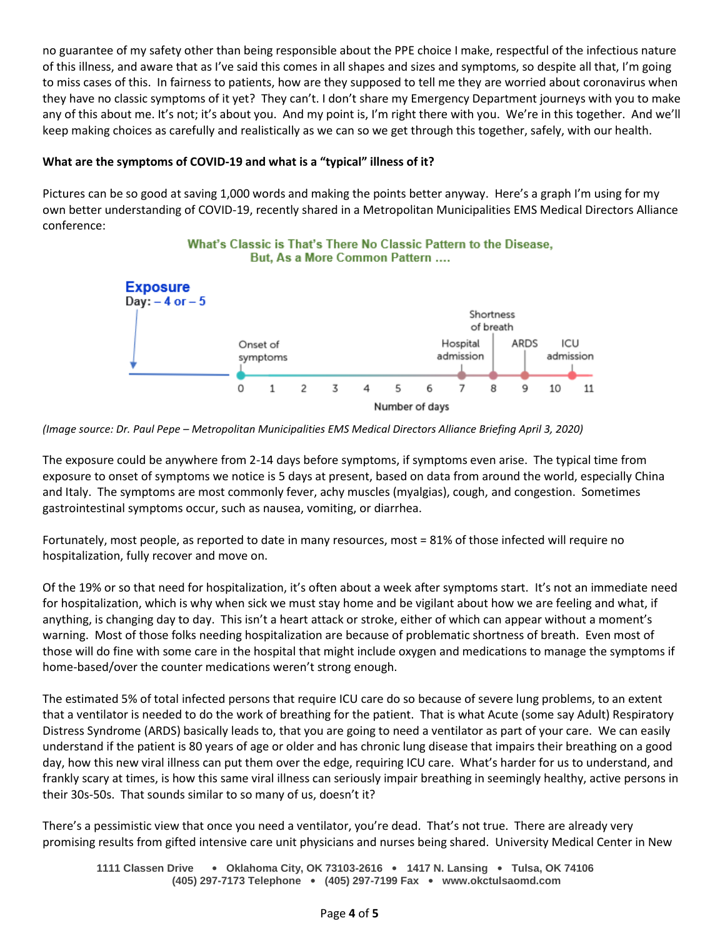no guarantee of my safety other than being responsible about the PPE choice I make, respectful of the infectious nature of this illness, and aware that as I've said this comes in all shapes and sizes and symptoms, so despite all that, I'm going to miss cases of this. In fairness to patients, how are they supposed to tell me they are worried about coronavirus when they have no classic symptoms of it yet? They can't. I don't share my Emergency Department journeys with you to make any of this about me. It's not; it's about you. And my point is, I'm right there with you. We're in this together. And we'll keep making choices as carefully and realistically as we can so we get through this together, safely, with our health.

# **What are the symptoms of COVID-19 and what is a "typical" illness of it?**

Pictures can be so good at saving 1,000 words and making the points better anyway. Here's a graph I'm using for my own better understanding of COVID-19, recently shared in a Metropolitan Municipalities EMS Medical Directors Alliance conference:

What's Classic is That's There No Classic Pattern to the Disease.



*(Image source: Dr. Paul Pepe – Metropolitan Municipalities EMS Medical Directors Alliance Briefing April 3, 2020)*

The exposure could be anywhere from 2-14 days before symptoms, if symptoms even arise. The typical time from exposure to onset of symptoms we notice is 5 days at present, based on data from around the world, especially China and Italy. The symptoms are most commonly fever, achy muscles (myalgias), cough, and congestion. Sometimes gastrointestinal symptoms occur, such as nausea, vomiting, or diarrhea.

Fortunately, most people, as reported to date in many resources, most = 81% of those infected will require no hospitalization, fully recover and move on.

Of the 19% or so that need for hospitalization, it's often about a week after symptoms start. It's not an immediate need for hospitalization, which is why when sick we must stay home and be vigilant about how we are feeling and what, if anything, is changing day to day. This isn't a heart attack or stroke, either of which can appear without a moment's warning. Most of those folks needing hospitalization are because of problematic shortness of breath. Even most of those will do fine with some care in the hospital that might include oxygen and medications to manage the symptoms if home-based/over the counter medications weren't strong enough.

The estimated 5% of total infected persons that require ICU care do so because of severe lung problems, to an extent that a ventilator is needed to do the work of breathing for the patient. That is what Acute (some say Adult) Respiratory Distress Syndrome (ARDS) basically leads to, that you are going to need a ventilator as part of your care. We can easily understand if the patient is 80 years of age or older and has chronic lung disease that impairs their breathing on a good day, how this new viral illness can put them over the edge, requiring ICU care. What's harder for us to understand, and frankly scary at times, is how this same viral illness can seriously impair breathing in seemingly healthy, active persons in their 30s-50s. That sounds similar to so many of us, doesn't it?

There's a pessimistic view that once you need a ventilator, you're dead. That's not true. There are already very promising results from gifted intensive care unit physicians and nurses being shared. University Medical Center in New